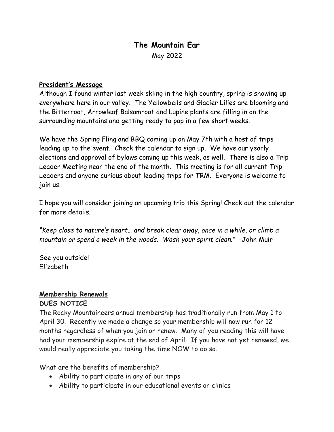# **The Mountain Ear** May 2022

#### **President's Message**

Although I found winter last week skiing in the high country, spring is showing up everywhere here in our valley. The Yellowbells and Glacier Lilies are blooming and the Bitterroot, Arrowleaf Balsamroot and Lupine plants are filling in on the surrounding mountains and getting ready to pop in a few short weeks.

We have the Spring Fling and BBQ coming up on May 7th with a host of trips leading up to the event. Check the calendar to sign up. We have our yearly elections and approval of bylaws coming up this week, as well. There is also a Trip Leader Meeting near the end of the month. This meeting is for all current Trip Leaders and anyone curious about leading trips for TRM. Everyone is welcome to join us.

I hope you will consider joining an upcoming trip this Spring! Check out the calendar for more details.

*"Keep close to nature's heart… and break clear away, once in a while, or climb a mountain or spend a week in the woods. Wash your spirit clean."* -John Muir

See you outside! Elizabeth

# **Membership Renewals**

#### **DUES NOTICE**

The Rocky Mountaineers annual membership has traditionally run from May 1 to April 30. Recently we made a change so your membership will now run for 12 months regardless of when you join or renew. Many of you reading this will have had your membership expire at the end of April. If you have not yet renewed, we would really appreciate you taking the time NOW to do so.

What are the benefits of membership?

- Ability to participate in any of our trips
- Ability to participate in our educational events or clinics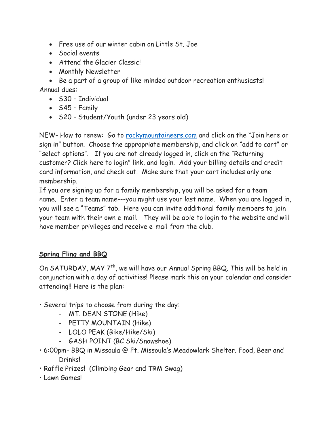- Free use of our winter cabin on Little St. Joe
- Social events
- Attend the Glacier Classic
- Monthly Newsletter

• Be a part of a group of like-minded outdoor recreation enthusiasts! Annual dues:

- \$30 Individual
- $\bullet$  \$45 Family
- \$20 Student/Youth (under 23 years old)

NEW- How to renew: Go to [rockymountaineers.com](https://rockymountaineers.com/) and click on the "Join here or sign in" button. Choose the appropriate membership, and click on "add to cart" or "select options". If you are not already logged in, click on the "Returning customer? Click here to login" link, and login. Add your billing details and credit card information, and check out. Make sure that your cart includes only one membership.

If you are signing up for a family membership, you will be asked for a team name. Enter a team name---you might use your last name. When you are logged in, you will see a "Teams" tab. Here you can invite additional family members to join your team with their own e-mail. They will be able to login to the website and will have member privileges and receive e-mail from the club.

## **Spring Fling and BBQ**

On SATURDAY, MAY 7<sup>th</sup>, we will have our Annual Spring BBQ. This will be held in conjunction with a day of activities! Please mark this on your calendar and consider attending!! Here is the plan:

- Several trips to choose from during the day:
	- MT. DEAN STONE (Hike)
	- PETTY MOUNTAIN (Hike)
	- LOLO PEAK (Bike/Hike/Ski)
	- GASH POINT (BC Ski/Snowshoe)
- 6:00pm- BBQ in Missoula @ Ft. Missoula's Meadowlark Shelter. Food, Beer and Drinks!
- Raffle Prizes! (Climbing Gear and TRM Swag)
- Lawn Games!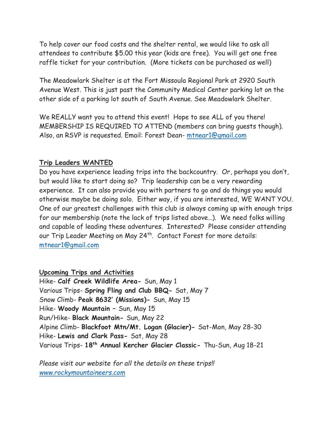To help cover our food costs and the shelter rental, we would like to ask all attendees to contribute \$5.00 this year (kids are free). You will get one free raffle ticket for your contribution. (More tickets can be purchased as well)

The Meadowlark Shelter is at the Fort Missoula Regional Park at 2920 South Avenue West. This is just past the Community Medical Center parking lot on the other side of a parking lot south of South Avenue. See Meadowlark Shelter.

We REALLY want you to attend this event! Hope to see ALL of you there! MEMBERSHIP IS REQUIRED TO ATTEND (members can bring guests though). Also, an RSVP is requested. Email: Forest Dean- [mtnear1@gmail.com](mailto:mtnear1@gmail.com)

#### **Trip Leaders WANTED**

Do you have experience leading trips into the backcountry. Or, perhaps you don't, but would like to start doing so? Trip leadership can be a very rewarding experience. It can also provide you with partners to go and do things you would otherwise maybe be doing solo. Either way, if you are interested, WE WANT YOU. One of our greatest challenges with this club is always coming up with enough trips for our membership (note the lack of trips listed above…). We need folks willing and capable of leading these adventures. Interested? Please consider attending our Trip Leader Meeting on May 24<sup>th</sup>. Contact Forest for more details: [mtnear1@gmail.com](mailto:mtnear1@gmail.com)

**Upcoming Trips and Activities** Hike- **Calf Creek Wildlife Area-** Sun, May 1 Various Trips- **Spring Fling and Club BBQ-** Sat, May 7 Snow Climb- **Peak 8632' (Missions)-** Sun, May 15 Hike- **Woody Mountain –** Sun, May 15 Run/Hike- **Black Mountain-** Sun, May 22 Alpine Climb- **Blackfoot Mtn/Mt. Logan (Glacier)-** Sat-Mon, May 28-30 Hike- **Lewis and Clark Pass-** Sat, May 28 Various Trips- **18th Annual Kercher Glacier Classic-** Thu-Sun, Aug 18-21

*Please visit our website for all the details on these trips!! [www.rockymountaineers.com](http://www.rockymountaineers.com/)*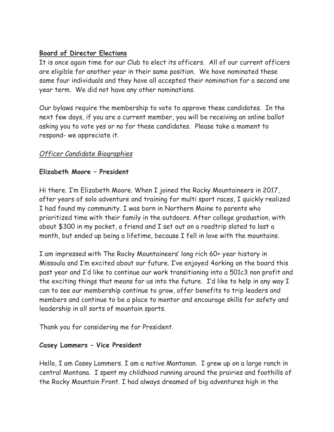## **Board of Director Elections**

It is once again time for our Club to elect its officers. All of our current officers are eligible for another year in their same position. We have nominated these same four individuals and they have all accepted their nomination for a second one year term. We did not have any other nominations.

Our bylaws require the membership to vote to approve these candidates. In the next few days, if you are a current member, you will be receiving an online ballot asking you to vote yes or no for these candidates. Please take a moment to respond- we appreciate it.

## *Officer Candidate Biographies*

## **Elizabeth Moore – President**

Hi there. I'm Elizabeth Moore. When I joined the Rocky Mountaineers in 2017, after years of solo adventure and training for multi sport races, I quickly realized I had found my community. I was born in Northern Maine to parents who prioritized time with their family in the outdoors. After college graduation, with about \$300 in my pocket, a friend and I set out on a roadtrip slated to last a month, but ended up being a lifetime, because I fell in love with the mountains.

I am impressed with The Rocky Mountaineers' long rich 60+ year history in Missoula and I'm excited about our future. I've enjoyed 4orking on the board this past year and I'd like to continue our work transitioning into a 501c3 non profit and the exciting things that means for us into the future. I'd like to help in any way I can to see our membership continue to grow, offer benefits to trip leaders and members and continue to be a place to mentor and encourage skills for safety and leadership in all sorts of mountain sports.

Thank you for considering me for President.

## **Casey Lammers – Vice President**

Hello, I am Casey Lammers. I am a native Montanan. I grew up on a large ranch in central Montana. I spent my childhood running around the prairies and foothills of the Rocky Mountain Front. I had always dreamed of big adventures high in the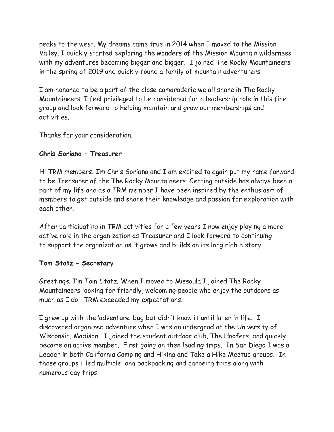peaks to the west. My dreams came true in 2014 when I moved to the Mission Valley. I quickly started exploring the wonders of the Mission Mountain wilderness with my adventures becoming bigger and bigger. I joined The Rocky Mountaineers in the spring of 2019 and quickly found a family of mountain adventurers.

I am honored to be a part of the close camaraderie we all share in The Rocky Mountaineers. I feel privileged to be considered for a leadership role in this fine group and look forward to helping maintain and grow our memberships and activities.

Thanks for your consideration.

### **Chris Soriano – Treasurer**

Hi TRM members. I'm Chris Soriano and I am excited to again put my name forward to be Treasurer of the The Rocky Mountaineers. Getting outside has always been a part of my life and as a TRM member I have been inspired by the enthusiasm of members to get outside and share their knowledge and passion for exploration with each other.

After participating in TRM activities for a few years I now enjoy playing a more active role in the organization as Treasurer and I look forward to continuing to support the organization as it grows and builds on its long rich history.

## **Tom Statz – Secretary**

Greetings. I'm Tom Statz. When I moved to Missoula I joined The Rocky Mountaineers looking for friendly, welcoming people who enjoy the outdoors as much as I do. TRM exceeded my expectations.

I grew up with the 'adventure' bug but didn't know it until later in life. I discovered organized adventure when I was an undergrad at the University of Wisconsin, Madison. I joined the student outdoor club, The Hoofers, and quickly became an active member. First going on then leading trips. In San Diego I was a Leader in both California Camping and Hiking and Take a Hike Meetup groups. In those groups I led multiple long backpacking and canoeing trips along with numerous day trips.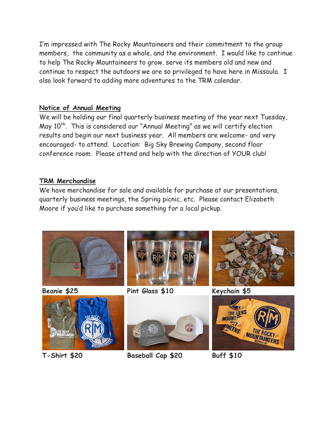I'm impressed with The Rocky Mountaineers and their commitment to the group members, the community as a whole, and the environment. I would like to continue to help The Rocky Mountaineers to grow, serve its members old and new and continue to respect the outdoors we are so privileged to have here in Missoula. I also look forward to adding more adventures to the TRM calendar.

#### **Notice of Annual Meeting**

We will be holding our final quarterly business meeting of the year next Tuesday, May  $10<sup>th</sup>$ . This is considered our "Annual Meeting" as we will certify election results and begin our next business year. All members are welcome- and very encouraged- to attend. Location: Big Sky Brewing Company, second floor conference room. Please attend and help with the direction of YOUR club!

### **TRM Merchandise**

We have merchandise for sale and available for purchase at our presentations, quarterly business meetings, the Spring picnic, etc. Please contact Elizabeth Moore if you'd like to purchase something for a local pickup.









**Beanie \$25 Pint Glass \$10 Keychain \$5**





**T-Shirt \$20 Baseball Cap \$20 Buff \$10**